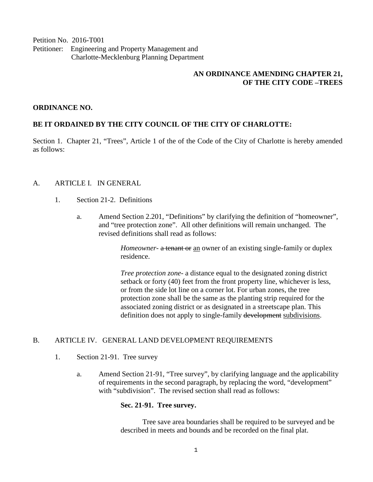Petition No. 2016-T001 Petitioner: Engineering and Property Management and Charlotte-Mecklenburg Planning Department

## **AN ORDINANCE AMENDING CHAPTER 21, OF THE CITY CODE –TREES**

## **ORDINANCE NO.**

## **BE IT ORDAINED BY THE CITY COUNCIL OF THE CITY OF CHARLOTTE:**

Section 1. Chapter 21, "Trees", Article 1 of the of the Code of the City of Charlotte is hereby amended as follows:

# A. ARTICLE I. IN GENERAL

- 1. Section 21-2. Definitions
	- a. Amend Section 2.201, "Definitions" by clarifying the definition of "homeowner", and "tree protection zone". All other definitions will remain unchanged. The revised definitions shall read as follows:

*Homeowner*- a tenant or an owner of an existing single-family or duplex residence.

*Tree protection zone-* a distance equal to the designated zoning district setback or forty (40) feet from the front property line, whichever is less, or from the side lot line on a corner lot. For urban zones, the tree protection zone shall be the same as the planting strip required for the associated zoning district or as designated in a streetscape plan. This definition does not apply to single-family development subdivisions.

#### B. ARTICLE IV. GENERAL LAND DEVELOPMENT REQUIREMENTS

- 1. Section 21-91. Tree survey
	- a. Amend Section 21-91, "Tree survey", by clarifying language and the applicability of requirements in the second paragraph, by replacing the word, "development" with "subdivision". The revised section shall read as follows:

#### **Sec. 21-91. Tree survey.**

Tree save area boundaries shall be required to be surveyed and be described in meets and bounds and be recorded on the final plat.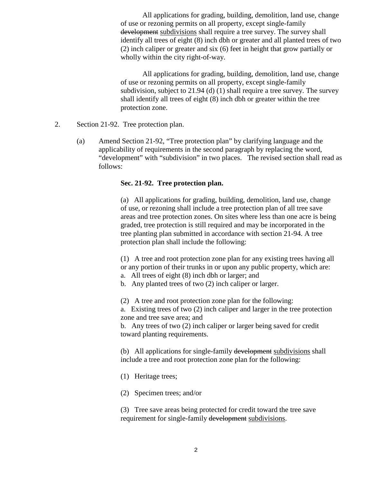All applications for grading, building, demolition, land use, change of use or rezoning permits on all property, except single-family development subdivisions shall require a tree survey. The survey shall identify all trees of eight (8) inch dbh or greater and all planted trees of two (2) inch caliper or greater and six (6) feet in height that grow partially or wholly within the city right-of-way.

All applications for grading, building, demolition, land use, change of use or rezoning permits on all property, except single-family subdivision, subject to 21.94 (d) (1) shall require a tree survey. The survey shall identify all trees of eight (8) inch dbh or greater within the tree protection zone.

- 2. Section 21-92. Tree protection plan.
	- (a) Amend Section 21-92, "Tree protection plan" by clarifying language and the applicability of requirements in the second paragraph by replacing the word, "development" with "subdivision" in two places. The revised section shall read as follows:

## **Sec. 21-92. Tree protection plan.**

(a) All applications for grading, building, demolition, land use, change of use, or rezoning shall include a tree protection plan of all tree save areas and tree protection zones. On sites where less than one acre is being graded, tree protection is still required and may be incorporated in the tree planting plan submitted in accordance with section 21-94. A tree protection plan shall include the following:

(1) A tree and root protection zone plan for any existing trees having all or any portion of their trunks in or upon any public property, which are:

a. All trees of eight (8) inch dbh or larger; and

b. Any planted trees of two (2) inch caliper or larger.

(2) A tree and root protection zone plan for the following:

a. Existing trees of two (2) inch caliper and larger in the tree protection zone and tree save area; and

b. Any trees of two (2) inch caliper or larger being saved for credit toward planting requirements.

(b) All applications for single-family development subdivisions shall include a tree and root protection zone plan for the following:

(1) Heritage trees;

(2) Specimen trees; and/or

(3) Tree save areas being protected for credit toward the tree save requirement for single-family development subdivisions.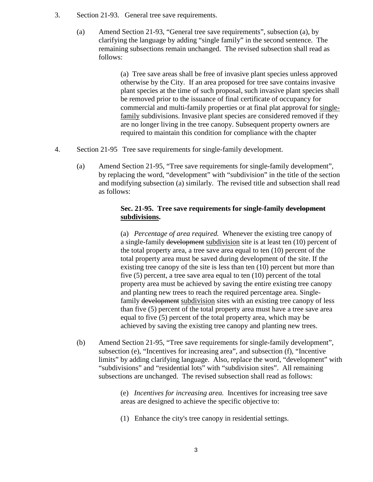- 3. Section 21-93. General tree save requirements.
	- (a) Amend Section 21-93, "General tree save requirements", subsection (a), by clarifying the language by adding "single family" in the second sentence. The remaining subsections remain unchanged. The revised subsection shall read as follows:

(a) Tree save areas shall be free of invasive plant species unless approved otherwise by the City. If an area proposed for tree save contains invasive plant species at the time of such proposal, such invasive plant species shall be removed prior to the issuance of final certificate of occupancy for commercial and multi-family properties or at final plat approval for singlefamily subdivisions. Invasive plant species are considered removed if they are no longer living in the tree canopy. Subsequent property owners are required to maintain this condition for compliance with the chapter

- 4. Section 21-95 Tree save requirements for single-family development.
	- (a) Amend Section 21-95, "Tree save requirements for single-family development", by replacing the word, "development" with "subdivision" in the title of the section and modifying subsection (a) similarly. The revised title and subsection shall read as follows:

## **Sec. 21-95. Tree save requirements for single-family development subdivisions.**

(a) *Percentage of area required.* Whenever the existing tree canopy of a single-family development subdivision site is at least ten (10) percent of the total property area, a tree save area equal to ten (10) percent of the total property area must be saved during development of the site. If the existing tree canopy of the site is less than ten (10) percent but more than five (5) percent, a tree save area equal to ten (10) percent of the total property area must be achieved by saving the entire existing tree canopy and planting new trees to reach the required percentage area. Singlefamily development subdivision sites with an existing tree canopy of less than five (5) percent of the total property area must have a tree save area equal to five (5) percent of the total property area, which may be achieved by saving the existing tree canopy and planting new trees.

(b) Amend Section 21-95, "Tree save requirements for single-family development", subsection (e), "Incentives for increasing area", and subsection (f), "Incentive limits" by adding clarifying language. Also, replace the word, "development" with "subdivisions" and "residential lots" with "subdivision sites". All remaining subsections are unchanged. The revised subsection shall read as follows:

> (e) *Incentives for increasing area.* Incentives for increasing tree save areas are designed to achieve the specific objective to:

(1) Enhance the city's tree canopy in residential settings.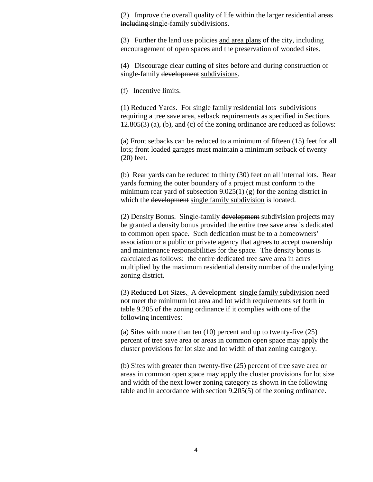(2) Improve the overall quality of life within the larger residential areas including single-family subdivisions.

(3) Further the land use policies and area plans of the city, including encouragement of open spaces and the preservation of wooded sites.

(4) Discourage clear cutting of sites before and during construction of single-family development subdivisions.

(f) Incentive limits.

(1) Reduced Yards. For single family residential lots subdivisions requiring a tree save area, setback requirements as specified in Sections  $12.805(3)$  (a), (b), and (c) of the zoning ordinance are reduced as follows:

(a) Front setbacks can be reduced to a minimum of fifteen (15) feet for all lots; front loaded garages must maintain a minimum setback of twenty (20) feet.

(b) Rear yards can be reduced to thirty (30) feet on all internal lots. Rear yards forming the outer boundary of a project must conform to the minimum rear yard of subsection  $9.025(1)$  (g) for the zoning district in which the development single family subdivision is located.

(2) Density Bonus. Single-family development subdivision projects may be granted a density bonus provided the entire tree save area is dedicated to common open space. Such dedication must be to a homeowners' association or a public or private agency that agrees to accept ownership and maintenance responsibilities for the space. The density bonus is calculated as follows: the entire dedicated tree save area in acres multiplied by the maximum residential density number of the underlying zoning district.

(3) Reduced Lot Sizes. A development single family subdivision need not meet the minimum lot area and lot width requirements set forth in table 9.205 of the zoning ordinance if it complies with one of the following incentives:

(a) Sites with more than ten (10) percent and up to twenty-five (25) percent of tree save area or areas in common open space may apply the cluster provisions for lot size and lot width of that zoning category.

(b) Sites with greater than twenty-five (25) percent of tree save area or areas in common open space may apply the cluster provisions for lot size and width of the next lower zoning category as shown in the following table and in accordance with section 9.205(5) of the zoning ordinance.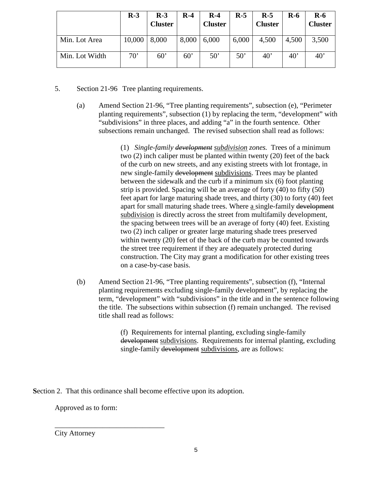|                | $R-3$        | $R-3$<br><b>Cluster</b> | $R-4$ | $R-4$<br><b>Cluster</b> | $R-5$        | $R-5$<br><b>Cluster</b> | <b>R-6</b> | $R-6$<br><b>Cluster</b> |
|----------------|--------------|-------------------------|-------|-------------------------|--------------|-------------------------|------------|-------------------------|
| Min. Lot Area  | 10,000       | 8,000                   | 8,000 | 6,000                   | 6,000        | 4,500                   | 4,500      | 3,500                   |
| Min. Lot Width | $70^{\circ}$ | 60'                     | 60'   | $50^{\circ}$            | $50^{\circ}$ | $40^{\circ}$            | 40'        | $40^{\circ}$            |

- 5. Section 21-96 Tree planting requirements.
	- (a) Amend Section 21-96, "Tree planting requirements", subsection (e), "Perimeter planting requirements", subsection (1) by replacing the term, "development" with "subdivisions" in three places, and adding "a" in the fourth sentence. Other subsections remain unchanged. The revised subsection shall read as follows:

(1) *Single-family development subdivision zones.* Trees of a minimum two (2) inch caliper must be planted within twenty (20) feet of the back of the curb on new streets, and any existing streets with lot frontage, in new single-family development subdivisions. Trees may be planted between the sidewalk and the curb if a minimum six (6) foot planting strip is provided. Spacing will be an average of forty (40) to fifty (50) feet apart for large maturing shade trees, and thirty (30) to forty (40) feet apart for small maturing shade trees. Where a single-family development subdivision is directly across the street from multifamily development, the spacing between trees will be an average of forty (40) feet. Existing two (2) inch caliper or greater large maturing shade trees preserved within twenty (20) feet of the back of the curb may be counted towards the street tree requirement if they are adequately protected during construction. The City may grant a modification for other existing trees on a case-by-case basis.

(b) Amend Section 21-96, "Tree planting requirements", subsection (f), "Internal planting requirements excluding single-family development", by replacing the term, "development" with "subdivisions" in the title and in the sentence following the title. The subsections within subsection (f) remain unchanged. The revised title shall read as follows:

> (f) Requirements for internal planting, excluding single-family development subdivisions. Requirements for internal planting, excluding single-family development subdivisions, are as follows:

**S**ection 2. That this ordinance shall become effective upon its adoption.

Approved as to form:

\_\_\_\_\_\_\_\_\_\_\_\_\_\_\_\_\_\_\_\_\_\_\_\_\_\_\_\_\_\_

City Attorney